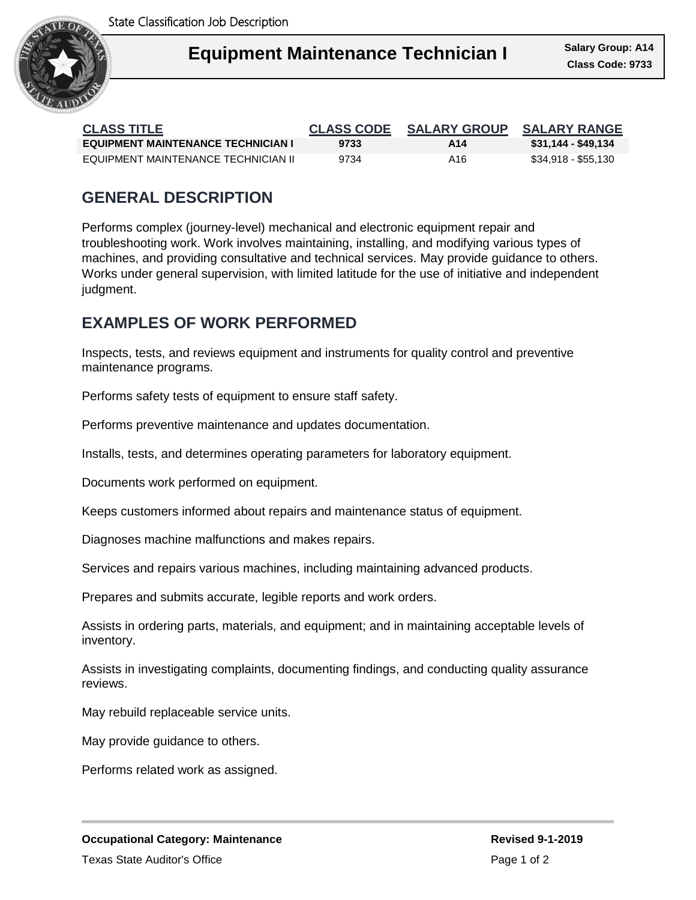

| <b>CLASS TITLE</b>                        | <b>CLASS CODE</b> | <b>SALARY GROUP</b> | <b>SALARY RANGE</b> |
|-------------------------------------------|-------------------|---------------------|---------------------|
| <b>EQUIPMENT MAINTENANCE TECHNICIAN I</b> | 9733              | A14                 | \$31,144 - \$49,134 |
| EQUIPMENT MAINTENANCE TECHNICIAN II       | 9734              | A16                 | \$34,918 - \$55,130 |

## **GENERAL DESCRIPTION**

Performs complex (journey-level) mechanical and electronic equipment repair and troubleshooting work. Work involves maintaining, installing, and modifying various types of machines, and providing consultative and technical services. May provide guidance to others. Works under general supervision, with limited latitude for the use of initiative and independent judgment.

# **EXAMPLES OF WORK PERFORMED**

Inspects, tests, and reviews equipment and instruments for quality control and preventive maintenance programs.

Performs safety tests of equipment to ensure staff safety.

Performs preventive maintenance and updates documentation.

Installs, tests, and determines operating parameters for laboratory equipment.

Documents work performed on equipment.

Keeps customers informed about repairs and maintenance status of equipment.

Diagnoses machine malfunctions and makes repairs.

Services and repairs various machines, including maintaining advanced products.

Prepares and submits accurate, legible reports and work orders.

Assists in ordering parts, materials, and equipment; and in maintaining acceptable levels of inventory.

Assists in investigating complaints, documenting findings, and conducting quality assurance reviews.

May rebuild replaceable service units.

May provide guidance to others.

Performs related work as assigned.